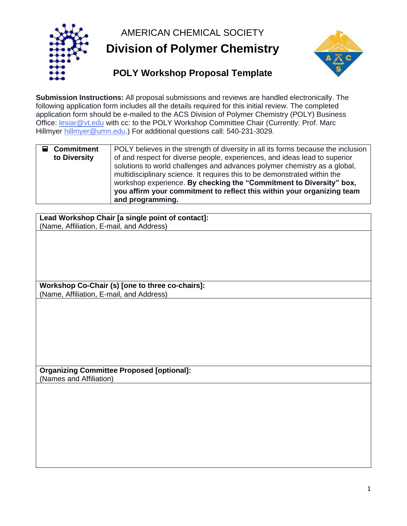AMERICAN CHEMICAL SOCIETY





## **Submission Instructions:** All proposal submissions and reviews are handled electronically. The following application form includes all the details required for this initial review. The completed application form should be e-mailed to the ACS Division of Polymer Chemistry (POLY) Business Office: [lesiar@vt.edu](mailto:lesiar@vt.edu) with cc: to the POLY Workshop Committee Chair (Currently: Prof. Marc Hillmyer [hillmyer@umn.edu.](mailto:hillmyer@umn.edu)) For additional questions call: 540-231-3029.

| $\blacksquare$ Commitment<br>to Diversity | POLY believes in the strength of diversity in all its forms because the inclusion<br>of and respect for diverse people, experiences, and ideas lead to superior<br>solutions to world challenges and advances polymer chemistry as a global,<br>multidisciplinary science. It requires this to be demonstrated within the<br>workshop experience. By checking the "Commitment to Diversity" box, |
|-------------------------------------------|--------------------------------------------------------------------------------------------------------------------------------------------------------------------------------------------------------------------------------------------------------------------------------------------------------------------------------------------------------------------------------------------------|
|                                           | you affirm your commitment to reflect this within your organizing team<br>and programming.                                                                                                                                                                                                                                                                                                       |

**Lead Workshop Chair [a single point of contact]:** (Name, Affiliation, E-mail, and Address)

**Workshop Co-Chair (s) [one to three co-chairs]:** (Name, Affiliation, E-mail, and Address)

**Organizing Committee Proposed [optional]:** (Names and Affiliation)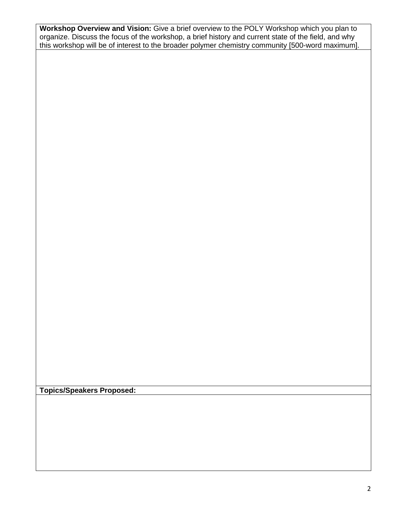**Workshop Overview and Vision:** Give a brief overview to the POLY Workshop which you plan to organize. Discuss the focus of the workshop, a brief history and current state of the field, and why this workshop will be of interest to the broader polymer chemistry community [500-word maximum].

**Topics/Speakers Proposed:**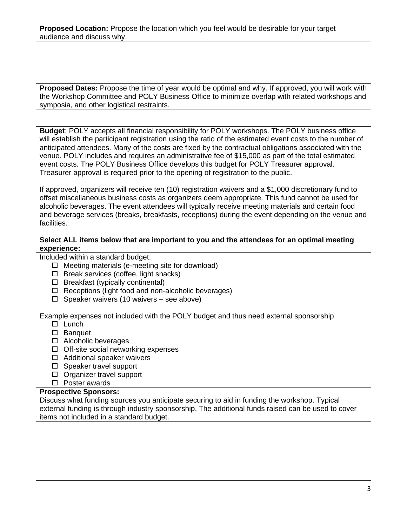**Proposed Location:** Propose the location which you feel would be desirable for your target audience and discuss why.

**Proposed Dates:** Propose the time of year would be optimal and why. If approved, you will work with the Workshop Committee and POLY Business Office to minimize overlap with related workshops and symposia, and other logistical restraints.

**Budget**: POLY accepts all financial responsibility for POLY workshops. The POLY business office will establish the participant registration using the ratio of the estimated event costs to the number of anticipated attendees. Many of the costs are fixed by the contractual obligations associated with the venue. POLY includes and requires an administrative fee of \$15,000 as part of the total estimated event costs. The POLY Business Office develops this budget for POLY Treasurer approval. Treasurer approval is required prior to the opening of registration to the public.

If approved, organizers will receive ten (10) registration waivers and a \$1,000 discretionary fund to offset miscellaneous business costs as organizers deem appropriate. This fund cannot be used for alcoholic beverages. The event attendees will typically receive meeting materials and certain food and beverage services (breaks, breakfasts, receptions) during the event depending on the venue and facilities.

## **Select ALL items below that are important to you and the attendees for an optimal meeting experience:**

Included within a standard budget:

- $\Box$  Meeting materials (e-meeting site for download)
- $\Box$  Break services (coffee, light snacks)
- $\Box$  Breakfast (typically continental)
- $\Box$  Receptions (light food and non-alcoholic beverages)
- $\Box$  Speaker waivers (10 waivers see above)

Example expenses not included with the POLY budget and thus need external sponsorship

- $\Box$  Lunch
- □ Banquet
- □ Alcoholic beverages
- $\Box$  Off-site social networking expenses
- □ Additional speaker waivers
- □ Speaker travel support
- □ Organizer travel support
- □ Poster awards

### **Prospective Sponsors:**

Discuss what funding sources you anticipate securing to aid in funding the workshop. Typical external funding is through industry sponsorship. The additional funds raised can be used to cover items not included in a standard budget.